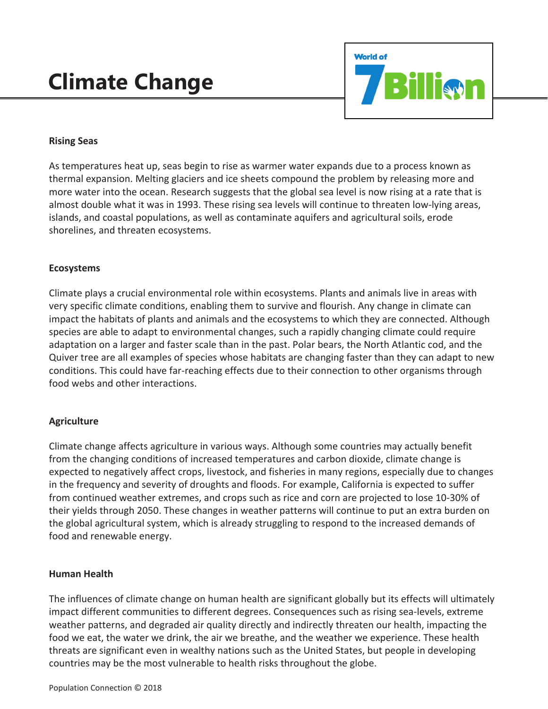# **Climate Change**



## **Rising Seas**

As temperatures heat up, seas begin to rise as warmer water expands due to a process known as thermal expansion. Melting glaciers and ice sheets compound the problem by releasing more and more water into the ocean. Research suggests that the global sea level is now rising at a rate that is almost double what it was in 1993. These rising sea levels will continue to threaten low-lying areas, islands, and coastal populations, as well as contaminate aquifers and agricultural soils, erode shorelines, and threaten ecosystems.

### **Ecosystems**

Climate plays a crucial environmental role within ecosystems. Plants and animals live in areas with very specific climate conditions, enabling them to survive and flourish. Any change in climate can impact the habitats of plants and animals and the ecosystems to which they are connected. Although species are able to adapt to environmental changes, such a rapidly changing climate could require adaptation on a larger and faster scale than in the past. Polar bears, the North Atlantic cod, and the Quiver tree are all examples of species whose habitats are changing faster than they can adapt to new conditions. This could have far-reaching effects due to their connection to other organisms through food webs and other interactions.

## **Agriculture**

Climate change affects agriculture in various ways. Although some countries may actually benefit from the changing conditions of increased temperatures and carbon dioxide, climate change is expected to negatively affect crops, livestock, and fisheries in many regions, especially due to changes in the frequency and severity of droughts and floods. For example, California is expected to suffer from continued weather extremes, and crops such as rice and corn are projected to lose 10-30% of their yields through 2050. These changes in weather patterns will continue to put an extra burden on the global agricultural system, which is already struggling to respond to the increased demands of food and renewable energy.

### **Human Health**

The influences of climate change on human health are significant globally but its effects will ultimately impact different communities to different degrees. Consequences such as rising sea-levels, extreme weather patterns, and degraded air quality directly and indirectly threaten our health, impacting the food we eat, the water we drink, the air we breathe, and the weather we experience. These health threats are significant even in wealthy nations such as the United States, but people in developing countries may be the most vulnerable to health risks throughout the globe.